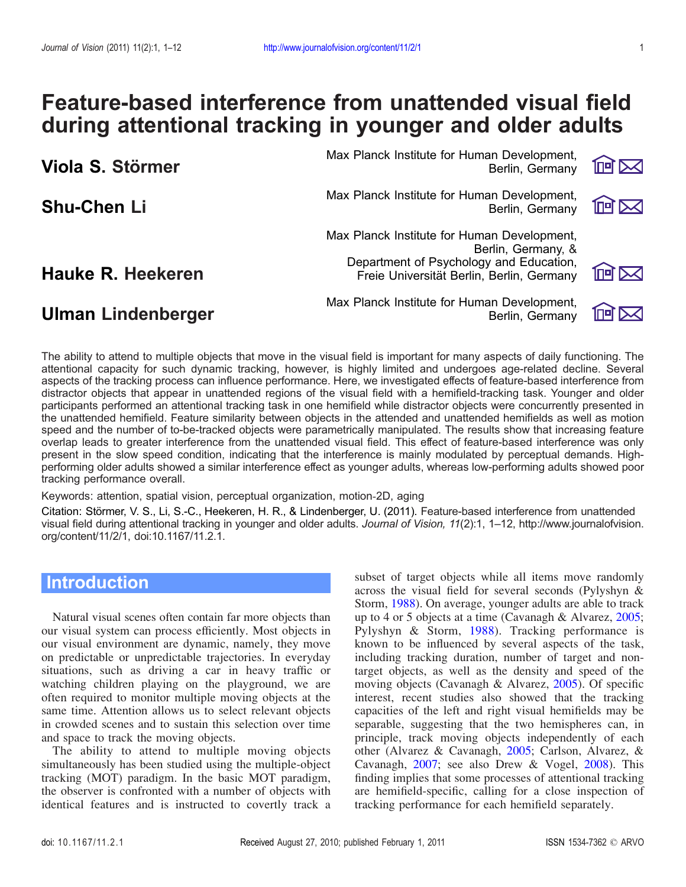# Feature-based interference from unattended visual field during attentional tracking in younger and older adults

Viola S. Störmer Berlin, Germany

Max Planck Institute for Human Development,

Max Planck Institute for Human Development, **Shu-Chen Li** Berlin, Germany

Max Planck Institute for Human Development, Berlin, Germany, & Department of Psychology and Education, Hauke R. Heekeren Freie Universität Berlin, Berlin, Germany

Max Planck Institute for Human Development, Ulman Lindenberger Berlin, Germany



 $1$ ngi $\sum$ 

The ability to attend to multiple objects that move in the visual field is important for many aspects of daily functioning. The attentional capacity for such dynamic tracking, however, is highly limited and undergoes age-related decline. Several aspects of the tracking process can influence performance. Here, we investigated effects of feature-based interference from distractor objects that appear in unattended regions of the visual field with a hemifield-tracking task. Younger and older participants performed an attentional tracking task in one hemifield while distractor objects were concurrently presented in the unattended hemifield. Feature similarity between objects in the attended and unattended hemifields as well as motion speed and the number of to-be-tracked objects were parametrically manipulated. The results show that increasing feature overlap leads to greater interference from the unattended visual field. This effect of feature-based interference was only present in the slow speed condition, indicating that the interference is mainly modulated by perceptual demands. Highperforming older adults showed a similar interference effect as younger adults, whereas low-performing adults showed poor tracking performance overall.

Keywords: attention, spatial vision, perceptual organization, motion<2D, aging

Citation: Störmer, V. S., Li, S.-C., Heekeren, H. R., & Lindenberger, U. (2011). Feature-based interference from unattended visual field during attentional tracking in younger and older adults. Journal of Vision, 11(2):1, 1–12, http://www.journalofvision. org/content/11/2/1, doi:10.1167/11.2.1.

# **Introduction**

Natural visual scenes often contain far more objects than our visual system can process efficiently. Most objects in our visual environment are dynamic, namely, they move on predictable or unpredictable trajectories. In everyday situations, such as driving a car in heavy traffic or watching children playing on the playground, we are often required to monitor multiple moving objects at the same time. Attention allows us to select relevant objects in crowded scenes and to sustain this selection over time and space to track the moving objects.

The ability to attend to multiple moving objects simultaneously has been studied using the multiple-object tracking (MOT) paradigm. In the basic MOT paradigm, the observer is confronted with a number of objects with identical features and is instructed to covertly track a subset of target objects while all items move randomly across the visual field for several seconds (Pylyshyn & Storm, [1988\)](#page-10-0). On average, younger adults are able to track up to 4 or 5 objects at a time (Cavanagh & Alvarez, [2005;](#page-9-0) Pylyshyn & Storm, [1988\)](#page-10-0). Tracking performance is known to be influenced by several aspects of the task, including tracking duration, number of target and nontarget objects, as well as the density and speed of the moving objects (Cavanagh & Alvarez, [2005\)](#page-9-0). Of specific interest, recent studies also showed that the tracking capacities of the left and right visual hemifields may be separable, suggesting that the two hemispheres can, in principle, track moving objects independently of each other (Alvarez & Cavanagh, [2005](#page-9-0); Carlson, Alvarez, & Cavanagh, [2007;](#page-9-0) see also Drew & Vogel, [2008\)](#page-9-0). This finding implies that some processes of attentional tracking are hemifield-specific, calling for a close inspection of tracking performance for each hemifield separately.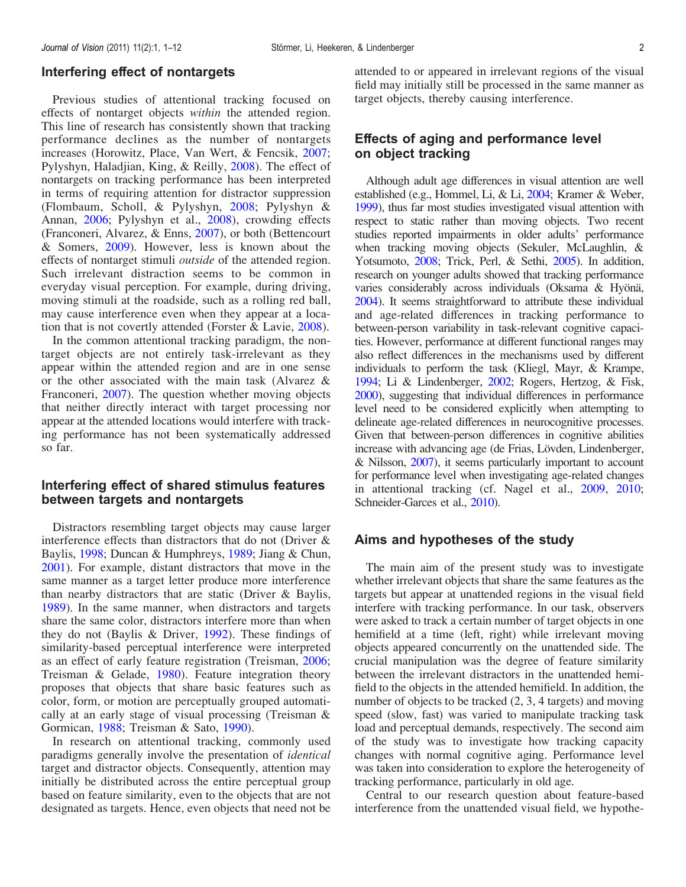#### Interfering effect of nontargets

Previous studies of attentional tracking focused on effects of nontarget objects within the attended region. This line of research has consistently shown that tracking performance declines as the number of nontargets increases (Horowitz, Place, Van Wert, & Fencsik, [2007](#page-10-0); Pylyshyn, Haladjian, King, & Reilly, [2008\)](#page-10-0). The effect of nontargets on tracking performance has been interpreted in terms of requiring attention for distractor suppression (Flombaum, Scholl, & Pylyshyn, [2008;](#page-9-0) Pylyshyn & Annan, [2006;](#page-10-0) Pylyshyn et al., [2008](#page-10-0)), crowding effects (Franconeri, Alvarez, & Enns, [2007\)](#page-9-0), or both (Bettencourt & Somers, [2009\)](#page-9-0). However, less is known about the effects of nontarget stimuli *outside* of the attended region. Such irrelevant distraction seems to be common in everyday visual perception. For example, during driving, moving stimuli at the roadside, such as a rolling red ball, may cause interference even when they appear at a location that is not covertly attended (Forster & Lavie, [2008\)](#page-9-0).

In the common attentional tracking paradigm, the nontarget objects are not entirely task-irrelevant as they appear within the attended region and are in one sense or the other associated with the main task (Alvarez & Franconeri, [2007](#page-9-0)). The question whether moving objects that neither directly interact with target processing nor appear at the attended locations would interfere with tracking performance has not been systematically addressed so far.

#### Interfering effect of shared stimulus features between targets and nontargets

Distractors resembling target objects may cause larger interference effects than distractors that do not (Driver & Baylis, [1998;](#page-9-0) Duncan & Humphreys, [1989](#page-9-0); Jiang & Chun, [2001\)](#page-10-0). For example, distant distractors that move in the same manner as a target letter produce more interference than nearby distractors that are static (Driver & Baylis, [1989\)](#page-9-0). In the same manner, when distractors and targets share the same color, distractors interfere more than when they do not (Baylis & Driver, [1992\)](#page-9-0). These findings of similarity-based perceptual interference were interpreted as an effect of early feature registration (Treisman, [2006](#page-10-0); Treisman & Gelade, [1980\)](#page-10-0). Feature integration theory proposes that objects that share basic features such as color, form, or motion are perceptually grouped automatically at an early stage of visual processing (Treisman & Gormican, [1988](#page-10-0); Treisman & Sato, [1990\)](#page-10-0).

In research on attentional tracking, commonly used paradigms generally involve the presentation of identical target and distractor objects. Consequently, attention may initially be distributed across the entire perceptual group based on feature similarity, even to the objects that are not designated as targets. Hence, even objects that need not be

attended to or appeared in irrelevant regions of the visual field may initially still be processed in the same manner as target objects, thereby causing interference.

#### Effects of aging and performance level on object tracking

Although adult age differences in visual attention are well established (e.g., Hommel, Li, & Li, [2004](#page-9-0); Kramer & Weber, [1999](#page-10-0)), thus far most studies investigated visual attention with respect to static rather than moving objects. Two recent studies reported impairments in older adults' performance when tracking moving objects (Sekuler, McLaughlin, & Yotsumoto, [2008;](#page-10-0) Trick, Perl, & Sethi, [2005](#page-11-0)). In addition, research on younger adults showed that tracking performance varies considerably across individuals (Oksama & Hyönä, [2004](#page-10-0)). It seems straightforward to attribute these individual and age-related differences in tracking performance to between-person variability in task-relevant cognitive capacities. However, performance at different functional ranges may also reflect differences in the mechanisms used by different individuals to perform the task (Kliegl, Mayr, & Krampe, [1994](#page-10-0); Li & Lindenberger, [2002](#page-10-0); Rogers, Hertzog, & Fisk, [2000](#page-10-0)), suggesting that individual differences in performance level need to be considered explicitly when attempting to delineate age-related differences in neurocognitive processes. Given that between-person differences in cognitive abilities increase with advancing age (de Frias, Lövden, Lindenberger, & Nilsson, [2007](#page-9-0)), it seems particularly important to account for performance level when investigating age-related changes in attentional tracking (cf. Nagel et al., [2009](#page-10-0), [2010;](#page-10-0) Schneider-Garces et al., [2010\)](#page-10-0).

#### Aims and hypotheses of the study

The main aim of the present study was to investigate whether irrelevant objects that share the same features as the targets but appear at unattended regions in the visual field interfere with tracking performance. In our task, observers were asked to track a certain number of target objects in one hemifield at a time (left, right) while irrelevant moving objects appeared concurrently on the unattended side. The crucial manipulation was the degree of feature similarity between the irrelevant distractors in the unattended hemifield to the objects in the attended hemifield. In addition, the number of objects to be tracked (2, 3, 4 targets) and moving speed (slow, fast) was varied to manipulate tracking task load and perceptual demands, respectively. The second aim of the study was to investigate how tracking capacity changes with normal cognitive aging. Performance level was taken into consideration to explore the heterogeneity of tracking performance, particularly in old age.

Central to our research question about feature-based interference from the unattended visual field, we hypothe-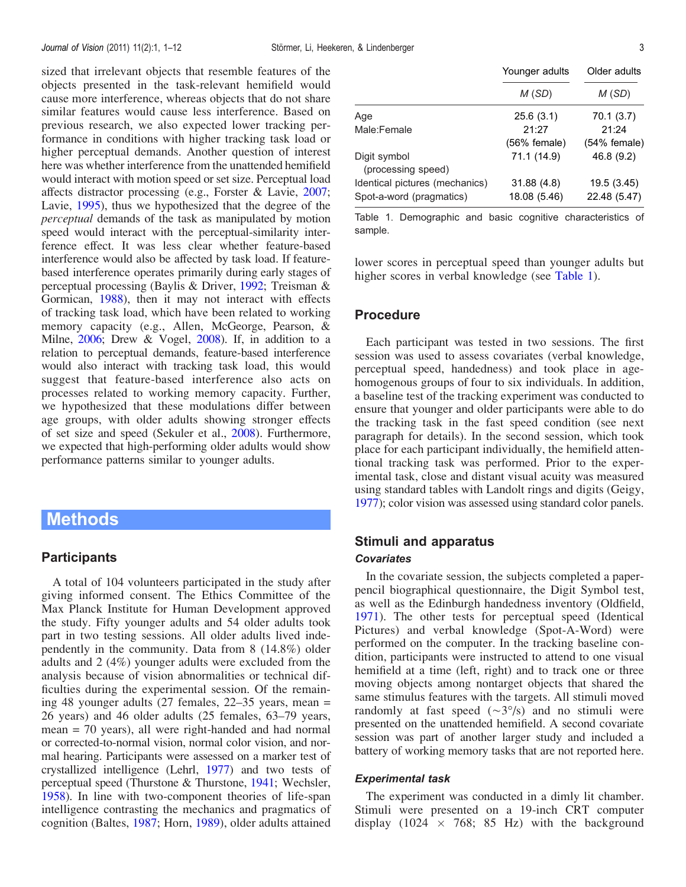sized that irrelevant objects that resemble features of the objects presented in the task-relevant hemifield would cause more interference, whereas objects that do not share similar features would cause less interference. Based on previous research, we also expected lower tracking performance in conditions with higher tracking task load or higher perceptual demands. Another question of interest here was whether interference from the unattended hemifield would interact with motion speed or set size. Perceptual load affects distractor processing (e.g., Forster & Lavie, [2007](#page-9-0); Lavie, [1995\)](#page-10-0), thus we hypothesized that the degree of the perceptual demands of the task as manipulated by motion speed would interact with the perceptual-similarity interference effect. It was less clear whether feature-based interference would also be affected by task load. If featurebased interference operates primarily during early stages of perceptual processing (Baylis & Driver, [1992](#page-9-0); Treisman & Gormican, [1988\)](#page-10-0), then it may not interact with effects of tracking task load, which have been related to working memory capacity (e.g., Allen, McGeorge, Pearson, & Milne, [2006;](#page-9-0) Drew & Vogel, [2008\)](#page-9-0). If, in addition to a relation to perceptual demands, feature-based interference would also interact with tracking task load, this would suggest that feature-based interference also acts on processes related to working memory capacity. Further, we hypothesized that these modulations differ between age groups, with older adults showing stronger effects of set size and speed (Sekuler et al., [2008](#page-10-0)). Furthermore, we expected that high-performing older adults would show performance patterns similar to younger adults.

# Methods

#### **Participants**

<span id="page-2-0"></span>A total of 104 volunteers participated in the study after giving informed consent. The Ethics Committee of the Max Planck Institute for Human Development approved the study. Fifty younger adults and 54 older adults took part in two testing sessions. All older adults lived independently in the community. Data from 8 (14.8%) older adults and 2 (4%) younger adults were excluded from the analysis because of vision abnormalities or technical difficulties during the experimental session. Of the remaining 48 younger adults (27 females, 22–35 years, mean = 26 years) and 46 older adults (25 females, 63–79 years, mean = 70 years), all were right-handed and had normal or corrected-to-normal vision, normal color vision, and normal hearing. Participants were assessed on a marker test of crystallized intelligence (Lehrl, [1977\)](#page-10-0) and two tests of perceptual speed (Thurstone & Thurstone, [1941](#page-10-0); Wechsler, [1958\)](#page-11-0). In line with two-component theories of life-span intelligence contrasting the mechanics and pragmatics of cognition (Baltes, [1987](#page-9-0); Horn, [1989](#page-10-0)), older adults attained

|                                    | Younger adults<br>M(SD) | Older adults<br>M (SD) |
|------------------------------------|-------------------------|------------------------|
|                                    |                         |                        |
| Age                                | 25.6(3.1)               | 70.1 (3.7)             |
| Male:Female                        | 21:27                   | 21:24                  |
|                                    | $(56%$ female)          | $(54%$ female)         |
| Digit symbol<br>(processing speed) | 71.1 (14.9)             | 46.8 (9.2)             |
| Identical pictures (mechanics)     | 31.88(4.8)              | 19.5 (3.45)            |
| Spot-a-word (pragmatics)           | 18.08 (5.46)            | 22.48 (5.47)           |

Table 1. Demographic and basic cognitive characteristics of sample.

lower scores in perceptual speed than younger adults but higher scores in verbal knowledge (see [Table 1\)](#page-2-0).

#### Procedure

Each participant was tested in two sessions. The first session was used to assess covariates (verbal knowledge, perceptual speed, handedness) and took place in agehomogenous groups of four to six individuals. In addition, a baseline test of the tracking experiment was conducted to ensure that younger and older participants were able to do the tracking task in the fast speed condition (see next paragraph for details). In the second session, which took place for each participant individually, the hemifield attentional tracking task was performed. Prior to the experimental task, close and distant visual acuity was measured using standard tables with Landolt rings and digits (Geigy, [1977](#page-9-0)); color vision was assessed using standard color panels.

### Stimuli and apparatus **Covariates**

In the covariate session, the subjects completed a paperpencil biographical questionnaire, the Digit Symbol test, as well as the Edinburgh handedness inventory (Oldfield, [1971\)](#page-10-0). The other tests for perceptual speed (Identical Pictures) and verbal knowledge (Spot-A-Word) were performed on the computer. In the tracking baseline condition, participants were instructed to attend to one visual hemifield at a time (left, right) and to track one or three moving objects among nontarget objects that shared the same stimulus features with the targets. All stimuli moved randomly at fast speed  $(\sim 3^{\circ}/s)$  and no stimuli were presented on the unattended hemifield. A second covariate session was part of another larger study and included a battery of working memory tasks that are not reported here.

#### Experimental task

The experiment was conducted in a dimly lit chamber. Stimuli were presented on a 19-inch CRT computer display (1024  $\times$  768; 85 Hz) with the background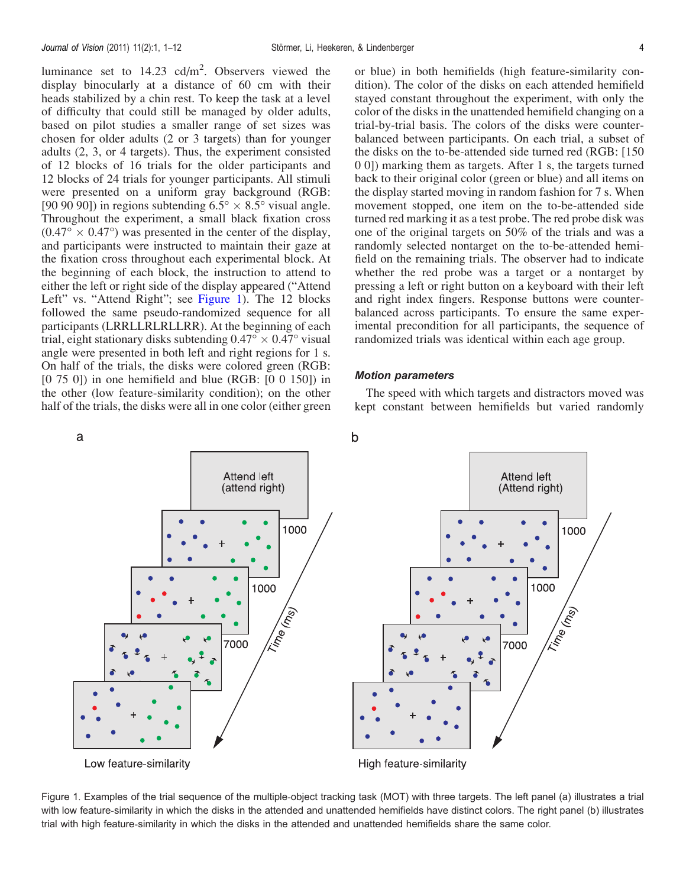luminance set to  $14.23$  cd/m<sup>2</sup>. Observers viewed the display binocularly at a distance of 60 cm with their heads stabilized by a chin rest. To keep the task at a level of difficulty that could still be managed by older adults, based on pilot studies a smaller range of set sizes was chosen for older adults (2 or 3 targets) than for younger adults (2, 3, or 4 targets). Thus, the experiment consisted of 12 blocks of 16 trials for the older participants and 12 blocks of 24 trials for younger participants. All stimuli were presented on a uniform gray background (RGB: [90 90 90]) in regions subtending  $6.5^{\circ} \times 8.5^{\circ}$  visual angle. Throughout the experiment, a small black fixation cross  $(0.47^{\circ} \times 0.47^{\circ})$  was presented in the center of the display, and participants were instructed to maintain their gaze at the fixation cross throughout each experimental block. At the beginning of each block, the instruction to attend to either the left or right side of the display appeared ("Attend Left" vs. "Attend Right"; see [Figure 1](#page-3-0)). The 12 blocks followed the same pseudo-randomized sequence for all participants (LRRLLRLRLLRR). At the beginning of each trial, eight stationary disks subtending  $0.47^{\circ} \times 0.47^{\circ}$  visual angle were presented in both left and right regions for 1 s. On half of the trials, the disks were colored green (RGB: [0 75 0]) in one hemifield and blue (RGB:  $[0 \ 0 \ 150]$ ) in the other (low feature-similarity condition); on the other half of the trials, the disks were all in one color (either green or blue) in both hemifields (high feature-similarity condition). The color of the disks on each attended hemifield stayed constant throughout the experiment, with only the color of the disks in the unattended hemifield changing on a trial-by-trial basis. The colors of the disks were counterbalanced between participants. On each trial, a subset of the disks on the to-be-attended side turned red (RGB: [150 0 0]) marking them as targets. After 1 s, the targets turned back to their original color (green or blue) and all items on the display started moving in random fashion for 7 s. When movement stopped, one item on the to-be-attended side turned red marking it as a test probe. The red probe disk was one of the original targets on 50% of the trials and was a randomly selected nontarget on the to-be-attended hemifield on the remaining trials. The observer had to indicate whether the red probe was a target or a nontarget by pressing a left or right button on a keyboard with their left and right index fingers. Response buttons were counterbalanced across participants. To ensure the same experimental precondition for all participants, the sequence of randomized trials was identical within each age group.

#### Motion parameters

The speed with which targets and distractors moved was kept constant between hemifields but varied randomly



<span id="page-3-0"></span>Figure 1. Examples of the trial sequence of the multiple-object tracking task (MOT) with three targets. The left panel (a) illustrates a trial with low feature-similarity in which the disks in the attended and unattended hemifields have distinct colors. The right panel (b) illustrates trial with high feature-similarity in which the disks in the attended and unattended hemifields share the same color.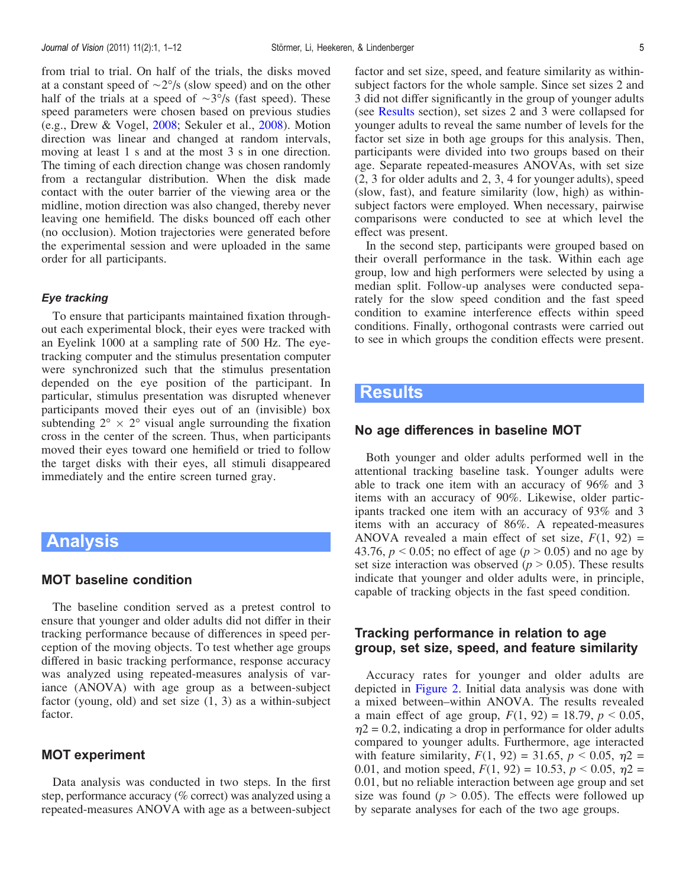from trial to trial. On half of the trials, the disks moved at a constant speed of  $\sim$ 2 $\frac{\nu}{s}$  (slow speed) and on the other half of the trials at a speed of  $\sim$ 3°/s (fast speed). These speed parameters were chosen based on previous studies (e.g., Drew & Vogel, [2008](#page-9-0); Sekuler et al., [2008\)](#page-10-0). Motion direction was linear and changed at random intervals, moving at least 1 s and at the most 3 s in one direction. The timing of each direction change was chosen randomly from a rectangular distribution. When the disk made contact with the outer barrier of the viewing area or the midline, motion direction was also changed, thereby never leaving one hemifield. The disks bounced off each other (no occlusion). Motion trajectories were generated before the experimental session and were uploaded in the same order for all participants.

#### Eye tracking

To ensure that participants maintained fixation throughout each experimental block, their eyes were tracked with an Eyelink 1000 at a sampling rate of 500 Hz. The eyetracking computer and the stimulus presentation computer were synchronized such that the stimulus presentation depended on the eye position of the participant. In particular, stimulus presentation was disrupted whenever participants moved their eyes out of an (invisible) box subtending  $2^{\circ} \times 2^{\circ}$  visual angle surrounding the fixation cross in the center of the screen. Thus, when participants moved their eyes toward one hemifield or tried to follow the target disks with their eyes, all stimuli disappeared immediately and the entire screen turned gray.

# Analysis

#### MOT baseline condition

The baseline condition served as a pretest control to ensure that younger and older adults did not differ in their tracking performance because of differences in speed perception of the moving objects. To test whether age groups differed in basic tracking performance, response accuracy was analyzed using repeated-measures analysis of variance (ANOVA) with age group as a between-subject factor (young, old) and set size (1, 3) as a within-subject factor.

### MOT experiment

<span id="page-4-0"></span>Data analysis was conducted in two steps. In the first step, performance accuracy (% correct) was analyzed using a repeated-measures ANOVA with age as a between-subject factor and set size, speed, and feature similarity as withinsubject factors for the whole sample. Since set sizes 2 and 3 did not differ significantly in the group of younger adults (see [Results](#page-4-0) section), set sizes 2 and 3 were collapsed for younger adults to reveal the same number of levels for the factor set size in both age groups for this analysis. Then, participants were divided into two groups based on their age. Separate repeated-measures ANOVAs, with set size (2, 3 for older adults and 2, 3, 4 for younger adults), speed (slow, fast), and feature similarity (low, high) as withinsubject factors were employed. When necessary, pairwise comparisons were conducted to see at which level the effect was present.

In the second step, participants were grouped based on their overall performance in the task. Within each age group, low and high performers were selected by using a median split. Follow-up analyses were conducted separately for the slow speed condition and the fast speed condition to examine interference effects within speed conditions. Finally, orthogonal contrasts were carried out to see in which groups the condition effects were present.

# Results

#### No age differences in baseline MOT

Both younger and older adults performed well in the attentional tracking baseline task. Younger adults were able to track one item with an accuracy of 96% and 3 items with an accuracy of 90%. Likewise, older participants tracked one item with an accuracy of 93% and 3 items with an accuracy of 86%. A repeated-measures ANOVA revealed a main effect of set size,  $F(1, 92) =$ 43.76,  $p < 0.05$ ; no effect of age ( $p > 0.05$ ) and no age by set size interaction was observed ( $p > 0.05$ ). These results indicate that younger and older adults were, in principle, capable of tracking objects in the fast speed condition.

#### Tracking performance in relation to age group, set size, speed, and feature similarity

Accuracy rates for younger and older adults are depicted in [Figure 2](#page-5-0). Initial data analysis was done with a mixed between–within ANOVA. The results revealed a main effect of age group,  $F(1, 92) = 18.79$ ,  $p < 0.05$ ,  $\eta$ 2 = 0.2, indicating a drop in performance for older adults compared to younger adults. Furthermore, age interacted with feature similarity,  $F(1, 92) = 31.65$ ,  $p < 0.05$ ,  $p2 =$ 0.01, and motion speed,  $F(1, 92) = 10.53$ ,  $p < 0.05$ ,  $\eta_2 =$ 0.01, but no reliable interaction between age group and set size was found ( $p > 0.05$ ). The effects were followed up by separate analyses for each of the two age groups.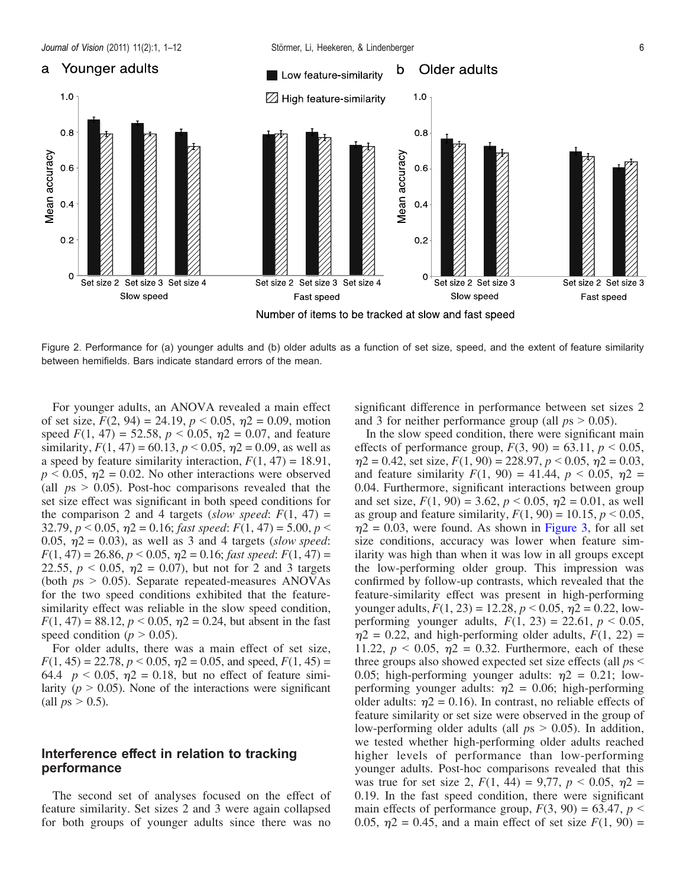

Figure 2. Performance for (a) younger adults and (b) older adults as a function of set size, speed, and the extent of feature similarity between hemifields. Bars indicate standard errors of the mean.

For younger adults, an ANOVA revealed a main effect of set size,  $F(2, 94) = 24.19$ ,  $p < 0.05$ ,  $\eta2 = 0.09$ , motion speed  $F(1, 47) = 52.58$ ,  $p < 0.05$ ,  $p<sub>2</sub> = 0.07$ , and feature similarity,  $F(1, 47) = 60.13$ ,  $p < 0.05$ ,  $\eta$ 2 = 0.09, as well as a speed by feature similarity interaction,  $F(1, 47) = 18.91$ ,  $p < 0.05$ ,  $\eta$ 2 = 0.02. No other interactions were observed (all  $ps > 0.05$ ). Post-hoc comparisons revealed that the set size effect was significant in both speed conditions for the comparison 2 and 4 targets (slow speed:  $F(1, 47) =$ 32.79,  $p < 0.05$ ,  $\eta$ 2 = 0.16; fast speed:  $F(1, 47) = 5.00$ ,  $p <$ 0.05,  $\eta$ 2 = 0.03), as well as 3 and 4 targets (slow speed:  $F(1, 47) = 26.86, p < 0.05, \eta$ 2 = 0.16; fast speed:  $F(1, 47)$  = 22.55,  $p < 0.05$ ,  $\eta$ 2 = 0.07), but not for 2 and 3 targets (both  $ps > 0.05$ ). Separate repeated-measures ANOVAs for the two speed conditions exhibited that the featuresimilarity effect was reliable in the slow speed condition,  $F(1, 47) = 88.12, p < 0.05, \eta_2 = 0.24$ , but absent in the fast speed condition ( $p > 0.05$ ).

For older adults, there was a main effect of set size,  $F(1, 45) = 22.78, p < 0.05, \eta_2 = 0.05, \text{ and speed}, F(1, 45) =$ 64.4  $p < 0.05$ ,  $\eta$ 2 = 0.18, but no effect of feature similarity ( $p > 0.05$ ). None of the interactions were significant (all  $ps > 0.5$ ).

#### Interference effect in relation to tracking performance

<span id="page-5-0"></span>The second set of analyses focused on the effect of feature similarity. Set sizes 2 and 3 were again collapsed for both groups of younger adults since there was no significant difference in performance between set sizes 2 and 3 for neither performance group (all  $ps > 0.05$ ).

In the slow speed condition, there were significant main effects of performance group,  $F(3, 90) = 63.11$ ,  $p < 0.05$ ,  $\eta$ 2 = 0.42, set size,  $F(1, 90) = 228.97$ ,  $p < 0.05$ ,  $\eta$ 2 = 0.03, and feature similarity  $F(1, 90) = 41.44$ ,  $p < 0.05$ ,  $\eta_2 =$ 0.04. Furthermore, significant interactions between group and set size,  $F(1, 90) = 3.62$ ,  $p < 0.05$ ,  $\eta$ 2 = 0.01, as well as group and feature similarity,  $F(1, 90) = 10.15$ ,  $p < 0.05$ ,  $\eta$ 2 = 0.03, were found. As shown in [Figure 3,](#page-6-0) for all set size conditions, accuracy was lower when feature similarity was high than when it was low in all groups except the low-performing older group. This impression was confirmed by follow-up contrasts, which revealed that the feature-similarity effect was present in high-performing younger adults,  $F(1, 23) = 12.28$ ,  $p < 0.05$ ,  $\eta$ 2 = 0.22, lowperforming younger adults,  $F(1, 23) = 22.61$ ,  $p < 0.05$ ,  $\eta$ 2 = 0.22, and high-performing older adults,  $F(1, 22)$  = 11.22,  $p < 0.05$ ,  $\eta$ 2 = 0.32. Furthermore, each of these three groups also showed expected set size effects (all  $ps \leq$ 0.05; high-performing younger adults:  $\eta$ 2 = 0.21; lowperforming younger adults:  $\eta$ 2 = 0.06; high-performing older adults:  $\eta$ 2 = 0.16). In contrast, no reliable effects of feature similarity or set size were observed in the group of low-performing older adults (all  $ps > 0.05$ ). In addition, we tested whether high-performing older adults reached higher levels of performance than low-performing younger adults. Post-hoc comparisons revealed that this was true for set size 2,  $F(1, 44) = 9,77, p < 0.05, \eta$ 2 = 0.19. In the fast speed condition, there were significant main effects of performance group,  $F(3, 90) = 63.47$ ,  $p \leq$ 0.05,  $\eta$ 2 = 0.45, and a main effect of set size  $F(1, 90)$  =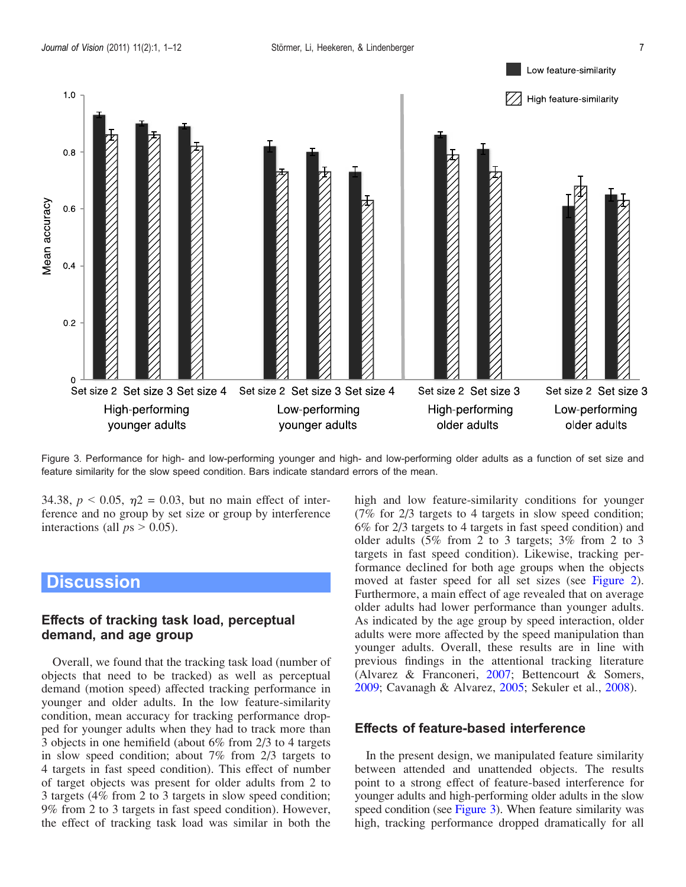

Figure 3. Performance for high- and low-performing younger and high- and low-performing older adults as a function of set size and feature similarity for the slow speed condition. Bars indicate standard errors of the mean.

34.38,  $p < 0.05$ ,  $\eta$ 2 = 0.03, but no main effect of interference and no group by set size or group by interference interactions (all  $ps > 0.05$ ).

# **Discussion**

### Effects of tracking task load, perceptual demand, and age group

<span id="page-6-0"></span>Overall, we found that the tracking task load (number of objects that need to be tracked) as well as perceptual demand (motion speed) affected tracking performance in younger and older adults. In the low feature-similarity condition, mean accuracy for tracking performance dropped for younger adults when they had to track more than 3 objects in one hemifield (about 6% from 2/3 to 4 targets in slow speed condition; about 7% from 2/3 targets to 4 targets in fast speed condition). This effect of number of target objects was present for older adults from 2 to 3 targets (4% from 2 to 3 targets in slow speed condition; 9% from 2 to 3 targets in fast speed condition). However, the effect of tracking task load was similar in both the

high and low feature-similarity conditions for younger (7% for 2/3 targets to 4 targets in slow speed condition; 6% for 2/3 targets to 4 targets in fast speed condition) and older adults (5% from 2 to 3 targets; 3% from 2 to 3 targets in fast speed condition). Likewise, tracking performance declined for both age groups when the objects moved at faster speed for all set sizes (see [Figure 2\)](#page-5-0). Furthermore, a main effect of age revealed that on average older adults had lower performance than younger adults. As indicated by the age group by speed interaction, older adults were more affected by the speed manipulation than younger adults. Overall, these results are in line with previous findings in the attentional tracking literature (Alvarez & Franconeri, [2007](#page-9-0); Bettencourt & Somers, [2009;](#page-9-0) Cavanagh & Alvarez, [2005;](#page-9-0) Sekuler et al., [2008](#page-10-0)).

# Effects of feature-based interference

In the present design, we manipulated feature similarity between attended and unattended objects. The results point to a strong effect of feature-based interference for younger adults and high-performing older adults in the slow speed condition (see [Figure 3\)](#page-6-0). When feature similarity was high, tracking performance dropped dramatically for all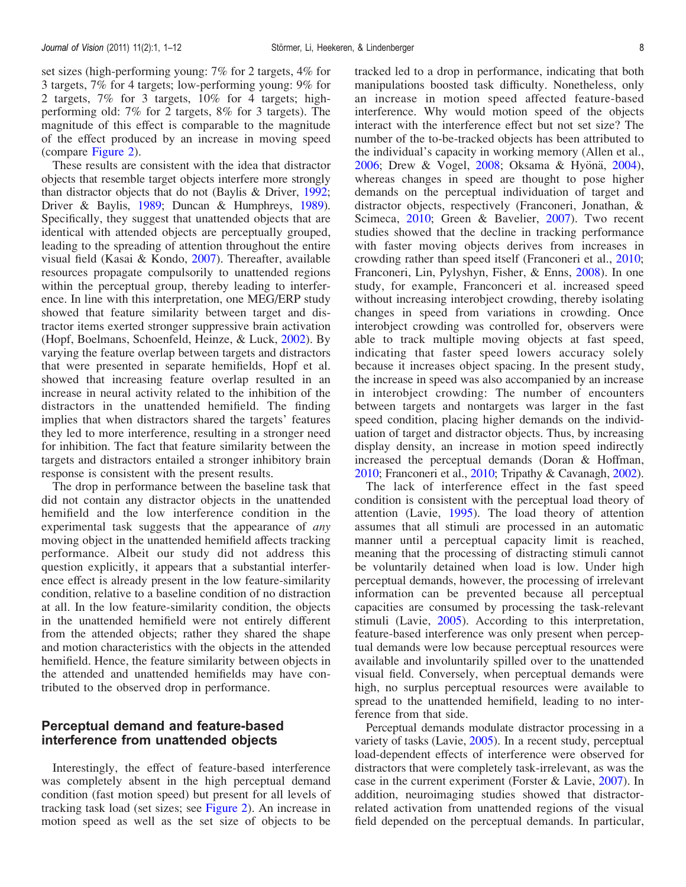set sizes (high-performing young: 7% for 2 targets, 4% for 3 targets, 7% for 4 targets; low-performing young: 9% for 2 targets, 7% for 3 targets, 10% for 4 targets; highperforming old: 7% for 2 targets, 8% for 3 targets). The magnitude of this effect is comparable to the magnitude of the effect produced by an increase in moving speed (compare [Figure 2\)](#page-5-0).

These results are consistent with the idea that distractor objects that resemble target objects interfere more strongly than distractor objects that do not (Baylis & Driver, [1992](#page-9-0); Driver & Baylis, [1989](#page-9-0); Duncan & Humphreys, [1989\)](#page-9-0). Specifically, they suggest that unattended objects that are identical with attended objects are perceptually grouped, leading to the spreading of attention throughout the entire visual field (Kasai & Kondo, [2007](#page-10-0)). Thereafter, available resources propagate compulsorily to unattended regions within the perceptual group, thereby leading to interference. In line with this interpretation, one MEG/ERP study showed that feature similarity between target and distractor items exerted stronger suppressive brain activation (Hopf, Boelmans, Schoenfeld, Heinze, & Luck, [2002\)](#page-9-0). By varying the feature overlap between targets and distractors that were presented in separate hemifields, Hopf et al. showed that increasing feature overlap resulted in an increase in neural activity related to the inhibition of the distractors in the unattended hemifield. The finding implies that when distractors shared the targets' features they led to more interference, resulting in a stronger need for inhibition. The fact that feature similarity between the targets and distractors entailed a stronger inhibitory brain response is consistent with the present results.

The drop in performance between the baseline task that did not contain any distractor objects in the unattended hemifield and the low interference condition in the experimental task suggests that the appearance of *any* moving object in the unattended hemifield affects tracking performance. Albeit our study did not address this question explicitly, it appears that a substantial interference effect is already present in the low feature-similarity condition, relative to a baseline condition of no distraction at all. In the low feature-similarity condition, the objects in the unattended hemifield were not entirely different from the attended objects; rather they shared the shape and motion characteristics with the objects in the attended hemifield. Hence, the feature similarity between objects in the attended and unattended hemifields may have contributed to the observed drop in performance.

#### Perceptual demand and feature-based interference from unattended objects

Interestingly, the effect of feature-based interference was completely absent in the high perceptual demand condition (fast motion speed) but present for all levels of tracking task load (set sizes; see [Figure 2](#page-5-0)). An increase in motion speed as well as the set size of objects to be

tracked led to a drop in performance, indicating that both manipulations boosted task difficulty. Nonetheless, only an increase in motion speed affected feature-based interference. Why would motion speed of the objects interact with the interference effect but not set size? The number of the to-be-tracked objects has been attributed to the individual's capacity in working memory (Allen et al., [2006;](#page-9-0) Drew & Vogel, [2008;](#page-9-0) Oksama & Hyönä, [2004\)](#page-10-0), whereas changes in speed are thought to pose higher demands on the perceptual individuation of target and distractor objects, respectively (Franconeri, Jonathan, & Scimeca, [2010;](#page-9-0) Green & Bavelier, [2007](#page-9-0)). Two recent studies showed that the decline in tracking performance with faster moving objects derives from increases in crowding rather than speed itself (Franconeri et al., [2010;](#page-9-0) Franconeri, Lin, Pylyshyn, Fisher, & Enns, [2008](#page-9-0)). In one study, for example, Franconceri et al. increased speed without increasing interobject crowding, thereby isolating changes in speed from variations in crowding. Once interobject crowding was controlled for, observers were able to track multiple moving objects at fast speed, indicating that faster speed lowers accuracy solely because it increases object spacing. In the present study, the increase in speed was also accompanied by an increase in interobject crowding: The number of encounters between targets and nontargets was larger in the fast speed condition, placing higher demands on the individuation of target and distractor objects. Thus, by increasing display density, an increase in motion speed indirectly increased the perceptual demands (Doran & Hoffman, [2010](#page-9-0); Franconeri et al., [2010;](#page-9-0) Tripathy & Cavanagh, [2002\)](#page-11-0).

The lack of interference effect in the fast speed condition is consistent with the perceptual load theory of attention (Lavie, [1995](#page-10-0)). The load theory of attention assumes that all stimuli are processed in an automatic manner until a perceptual capacity limit is reached, meaning that the processing of distracting stimuli cannot be voluntarily detained when load is low. Under high perceptual demands, however, the processing of irrelevant information can be prevented because all perceptual capacities are consumed by processing the task-relevant stimuli (Lavie, [2005](#page-10-0)). According to this interpretation, feature-based interference was only present when perceptual demands were low because perceptual resources were available and involuntarily spilled over to the unattended visual field. Conversely, when perceptual demands were high, no surplus perceptual resources were available to spread to the unattended hemifield, leading to no interference from that side.

Perceptual demands modulate distractor processing in a variety of tasks (Lavie, [2005\)](#page-10-0). In a recent study, perceptual load-dependent effects of interference were observed for distractors that were completely task-irrelevant, as was the case in the current experiment (Forster & Lavie, [2007](#page-9-0)). In addition, neuroimaging studies showed that distractorrelated activation from unattended regions of the visual field depended on the perceptual demands. In particular,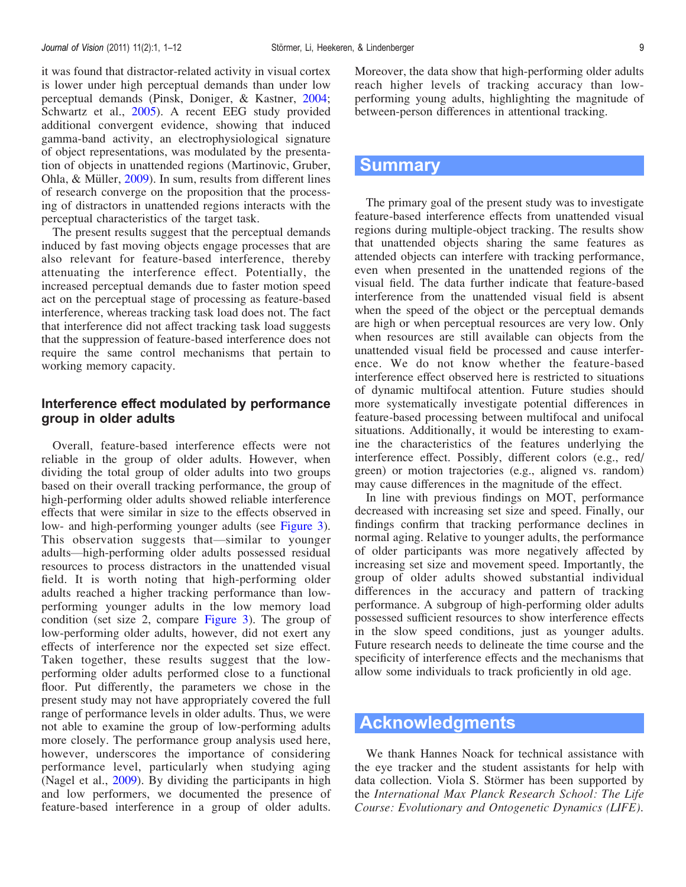it was found that distractor-related activity in visual cortex is lower under high perceptual demands than under low perceptual demands (Pinsk, Doniger, & Kastner, [2004](#page-10-0); Schwartz et al., [2005](#page-10-0)). A recent EEG study provided additional convergent evidence, showing that induced gamma-band activity, an electrophysiological signature of object representations, was modulated by the presentation of objects in unattended regions (Martinovic, Gruber, Ohla,  $&$  Müller, [2009\)](#page-10-0). In sum, results from different lines of research converge on the proposition that the processing of distractors in unattended regions interacts with the perceptual characteristics of the target task.

The present results suggest that the perceptual demands induced by fast moving objects engage processes that are also relevant for feature-based interference, thereby attenuating the interference effect. Potentially, the increased perceptual demands due to faster motion speed act on the perceptual stage of processing as feature-based interference, whereas tracking task load does not. The fact that interference did not affect tracking task load suggests that the suppression of feature-based interference does not require the same control mechanisms that pertain to working memory capacity.

#### Interference effect modulated by performance group in older adults

Overall, feature-based interference effects were not reliable in the group of older adults. However, when dividing the total group of older adults into two groups based on their overall tracking performance, the group of high-performing older adults showed reliable interference effects that were similar in size to the effects observed in low- and high-performing younger adults (see [Figure 3\)](#page-6-0). This observation suggests that—similar to younger adults—high-performing older adults possessed residual resources to process distractors in the unattended visual field. It is worth noting that high-performing older adults reached a higher tracking performance than lowperforming younger adults in the low memory load condition (set size 2, compare [Figure 3\)](#page-6-0). The group of low-performing older adults, however, did not exert any effects of interference nor the expected set size effect. Taken together, these results suggest that the lowperforming older adults performed close to a functional floor. Put differently, the parameters we chose in the present study may not have appropriately covered the full range of performance levels in older adults. Thus, we were not able to examine the group of low-performing adults more closely. The performance group analysis used here, however, underscores the importance of considering performance level, particularly when studying aging (Nagel et al., [2009](#page-10-0)). By dividing the participants in high and low performers, we documented the presence of feature-based interference in a group of older adults.

Moreover, the data show that high-performing older adults reach higher levels of tracking accuracy than lowperforming young adults, highlighting the magnitude of between-person differences in attentional tracking.

# **Summary**

The primary goal of the present study was to investigate feature-based interference effects from unattended visual regions during multiple-object tracking. The results show that unattended objects sharing the same features as attended objects can interfere with tracking performance, even when presented in the unattended regions of the visual field. The data further indicate that feature-based interference from the unattended visual field is absent when the speed of the object or the perceptual demands are high or when perceptual resources are very low. Only when resources are still available can objects from the unattended visual field be processed and cause interference. We do not know whether the feature-based interference effect observed here is restricted to situations of dynamic multifocal attention. Future studies should more systematically investigate potential differences in feature-based processing between multifocal and unifocal situations. Additionally, it would be interesting to examine the characteristics of the features underlying the interference effect. Possibly, different colors (e.g., red/ green) or motion trajectories (e.g., aligned vs. random) may cause differences in the magnitude of the effect.

In line with previous findings on MOT, performance decreased with increasing set size and speed. Finally, our findings confirm that tracking performance declines in normal aging. Relative to younger adults, the performance of older participants was more negatively affected by increasing set size and movement speed. Importantly, the group of older adults showed substantial individual differences in the accuracy and pattern of tracking performance. A subgroup of high-performing older adults possessed sufficient resources to show interference effects in the slow speed conditions, just as younger adults. Future research needs to delineate the time course and the specificity of interference effects and the mechanisms that allow some individuals to track proficiently in old age.

# Acknowledgments

We thank Hannes Noack for technical assistance with the eye tracker and the student assistants for help with data collection. Viola S. Störmer has been supported by the International Max Planck Research School: The Life Course: Evolutionary and Ontogenetic Dynamics (LIFE).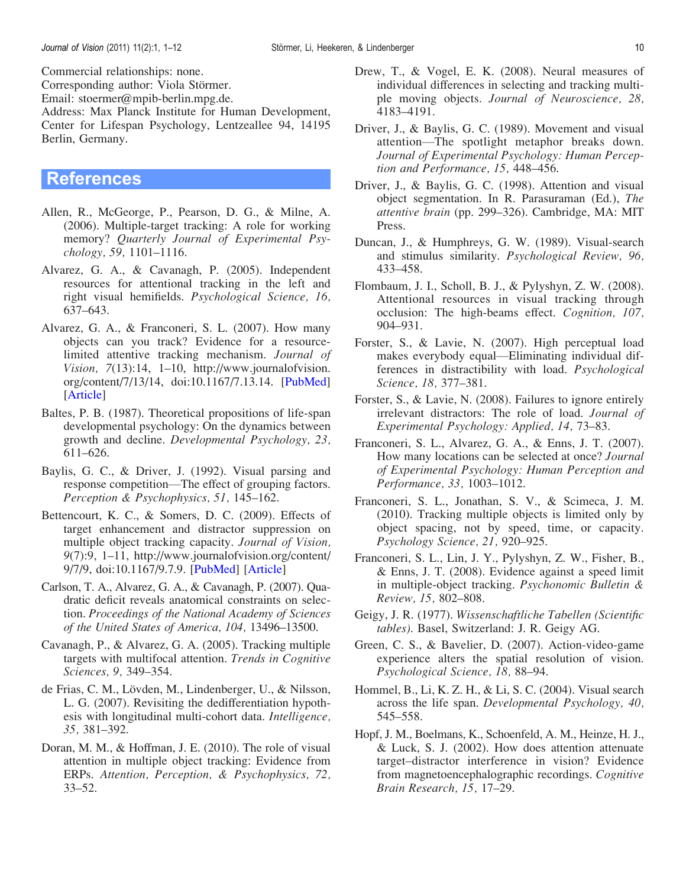Commercial relationships: none.

Corresponding author: Viola Störmer.

Email: stoermer@mpib-berlin.mpg.de.

Address: Max Planck Institute for Human Development, Center for Lifespan Psychology, Lentzeallee 94, 14195 Berlin, Germany.

# References

- Allen, R., McGeorge, P., Pearson, D. G., & Milne, A. (2006). Multiple-target tracking: A role for working memory? Quarterly Journal of Experimental Psychology, 59, 1101–1116.
- Alvarez, G. A., & Cavanagh, P. (2005). Independent resources for attentional tracking in the left and right visual hemifields. Psychological Science, 16, 637–643.
- Alvarez, G. A., & Franconeri, S. L. (2007). How many objects can you track? Evidence for a resourcelimited attentive tracking mechanism. Journal of Vision, 7(13):14, 1–10, http://www.journalofvision. org/content/7/13/14, doi:10.1167/7.13.14. [[PubMed\]](http://www.ncbi.nlm.nih.gov/pubmed/17997642) [\[Article\]](http://www.journalofvision.org/content/7/13/14)
- Baltes, P. B. (1987). Theoretical propositions of life-span developmental psychology: On the dynamics between growth and decline. Developmental Psychology, 23, 611–626.
- Baylis, G. C., & Driver, J. (1992). Visual parsing and response competition—The effect of grouping factors. Perception & Psychophysics, 51, 145–162.
- Bettencourt, K. C., & Somers, D. C. (2009). Effects of target enhancement and distractor suppression on multiple object tracking capacity. Journal of Vision, 9(7):9, 1–11, http://www.journalofvision.org/content/ 9/7/9, doi:10.1167/9.7.9. [\[PubMed](http://www.ncbi.nlm.nih.gov/pubmed/19761324)] [\[Article\]](http://www.journalofvision.org/content/9/7/9)
- Carlson, T. A., Alvarez, G. A., & Cavanagh, P. (2007). Quadratic deficit reveals anatomical constraints on selection. Proceedings of the National Academy of Sciences of the United States of America, 104, 13496–13500.
- Cavanagh, P., & Alvarez, G. A. (2005). Tracking multiple targets with multifocal attention. Trends in Cognitive Sciences, 9, 349–354.
- de Frias, C. M., Lövden, M., Lindenberger, U., & Nilsson, L. G. (2007). Revisiting the dedifferentiation hypothesis with longitudinal multi-cohort data. Intelligence, 35, 381–392.
- <span id="page-9-0"></span>Doran, M. M., & Hoffman, J. E. (2010). The role of visual attention in multiple object tracking: Evidence from ERPs. Attention, Perception, & Psychophysics, 72, 33–52.
- Drew, T., & Vogel, E. K. (2008). Neural measures of individual differences in selecting and tracking multiple moving objects. Journal of Neuroscience, 28, 4183–4191.
- Driver, J., & Baylis, G. C. (1989). Movement and visual attention—The spotlight metaphor breaks down. Journal of Experimental Psychology: Human Perception and Performance, 15, 448–456.
- Driver, J., & Baylis, G. C. (1998). Attention and visual object segmentation. In R. Parasuraman (Ed.), The attentive brain (pp. 299–326). Cambridge, MA: MIT Press.
- Duncan, J., & Humphreys, G. W. (1989). Visual-search and stimulus similarity. Psychological Review, 96, 433–458.
- Flombaum, J. I., Scholl, B. J., & Pylyshyn, Z. W. (2008). Attentional resources in visual tracking through occlusion: The high-beams effect. Cognition, 107, 904–931.
- Forster, S., & Lavie, N. (2007). High perceptual load makes everybody equal—Eliminating individual differences in distractibility with load. Psychological Science, 18, 377–381.
- Forster, S., & Lavie, N. (2008). Failures to ignore entirely irrelevant distractors: The role of load. Journal of Experimental Psychology: Applied, 14, 73–83.
- Franconeri, S. L., Alvarez, G. A., & Enns, J. T. (2007). How many locations can be selected at once? Journal of Experimental Psychology: Human Perception and Performance, 33, 1003–1012.
- Franconeri, S. L., Jonathan, S. V., & Scimeca, J. M. (2010). Tracking multiple objects is limited only by object spacing, not by speed, time, or capacity. Psychology Science, 21, 920–925.
- Franconeri, S. L., Lin, J. Y., Pylyshyn, Z. W., Fisher, B., & Enns, J. T. (2008). Evidence against a speed limit in multiple-object tracking. Psychonomic Bulletin & Review, 15, 802–808.
- Geigy, J. R. (1977). Wissenschaftliche Tabellen (Scientific tables). Basel, Switzerland: J. R. Geigy AG.
- Green, C. S., & Bavelier, D. (2007). Action-video-game experience alters the spatial resolution of vision. Psychological Science, 18, 88–94.
- Hommel, B., Li, K. Z. H., & Li, S. C. (2004). Visual search across the life span. Developmental Psychology, 40, 545–558.
- Hopf, J. M., Boelmans, K., Schoenfeld, A. M., Heinze, H. J., & Luck, S. J. (2002). How does attention attenuate target–distractor interference in vision? Evidence from magnetoencephalographic recordings. Cognitive Brain Research, 15, 17–29.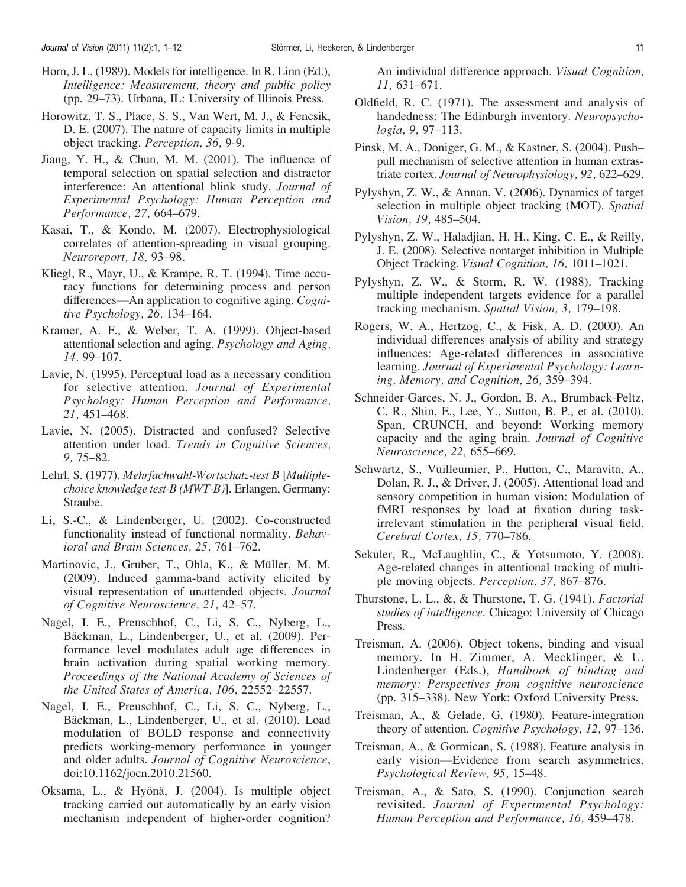- Horn, J. L. (1989). Models for intelligence. In R. Linn (Ed.), Intelligence: Measurement, theory and public policy (pp. 29–73). Urbana, IL: University of Illinois Press.
- Horowitz, T. S., Place, S. S., Van Wert, M. J., & Fencsik, D. E. (2007). The nature of capacity limits in multiple object tracking. Perception, 36, 9-9.
- Jiang, Y. H., & Chun, M. M. (2001). The influence of temporal selection on spatial selection and distractor interference: An attentional blink study. Journal of Experimental Psychology: Human Perception and Performance, 27, 664–679.
- Kasai, T., & Kondo, M. (2007). Electrophysiological correlates of attention-spreading in visual grouping. Neuroreport, 18, 93–98.
- Kliegl, R., Mayr, U., & Krampe, R. T. (1994). Time accuracy functions for determining process and person differences—An application to cognitive aging.  $Cogni$ tive Psychology, 26, 134–164.
- Kramer, A. F., & Weber, T. A. (1999). Object-based attentional selection and aging. Psychology and Aging, 14, 99–107.
- Lavie, N. (1995). Perceptual load as a necessary condition for selective attention. Journal of Experimental Psychology: Human Perception and Performance, 21, 451–468.
- Lavie, N. (2005). Distracted and confused? Selective attention under load. Trends in Cognitive Sciences, 9, 75–82.
- Lehrl, S. (1977). Mehrfachwahl-Wortschatz-test B [Multiplechoice knowledge test-B (MWT-B)]. Erlangen, Germany: Straube.
- Li, S.-C., & Lindenberger, U. (2002). Co-constructed functionality instead of functional normality. Behavioral and Brain Sciences, 25, 761–762.
- Martinovic, J., Gruber, T., Ohla, K., & Müller, M. M. (2009). Induced gamma-band activity elicited by visual representation of unattended objects. Journal of Cognitive Neuroscience, 21, 42–57.
- Nagel, I. E., Preuschhof, C., Li, S. C., Nyberg, L., Bäckman, L., Lindenberger, U., et al. (2009). Performance level modulates adult age differences in brain activation during spatial working memory. Proceedings of the National Academy of Sciences of the United States of America, 106, 22552–22557.
- Nagel, I. E., Preuschhof, C., Li, S. C., Nyberg, L., Bäckman, L., Lindenberger, U., et al. (2010). Load modulation of BOLD response and connectivity predicts working-memory performance in younger and older adults. Journal of Cognitive Neuroscience, doi:10.1162/jocn.2010.21560.
- <span id="page-10-0"></span>Oksama, L., & Hyönä, J. (2004). Is multiple object tracking carried out automatically by an early vision mechanism independent of higher-order cognition?

An individual difference approach. Visual Cognition, 11, 631–671.

- Oldfield, R. C. (1971). The assessment and analysis of handedness: The Edinburgh inventory. Neuropsychologia, 9, 97–113.
- Pinsk, M. A., Doniger, G. M., & Kastner, S. (2004). Push– pull mechanism of selective attention in human extrastriate cortex. Journal of Neurophysiology, 92, 622–629.
- Pylyshyn, Z. W., & Annan, V. (2006). Dynamics of target selection in multiple object tracking (MOT). Spatial Vision, 19, 485–504.
- Pylyshyn, Z. W., Haladjian, H. H., King, C. E., & Reilly, J. E. (2008). Selective nontarget inhibition in Multiple Object Tracking. Visual Cognition, 16, 1011–1021.
- Pylyshyn, Z. W., & Storm, R. W. (1988). Tracking multiple independent targets evidence for a parallel tracking mechanism. Spatial Vision, 3, 179–198.
- Rogers, W. A., Hertzog, C., & Fisk, A. D. (2000). An individual differences analysis of ability and strategy influences: Age-related differences in associative learning. Journal of Experimental Psychology: Learning, Memory, and Cognition, 26, 359–394.
- Schneider-Garces, N. J., Gordon, B. A., Brumback-Peltz, C. R., Shin, E., Lee, Y., Sutton, B. P., et al. (2010). Span, CRUNCH, and beyond: Working memory capacity and the aging brain. Journal of Cognitive Neuroscience, 22, 655–669.
- Schwartz, S., Vuilleumier, P., Hutton, C., Maravita, A., Dolan, R. J., & Driver, J. (2005). Attentional load and sensory competition in human vision: Modulation of fMRI responses by load at fixation during taskirrelevant stimulation in the peripheral visual field. Cerebral Cortex, 15, 770–786.
- Sekuler, R., McLaughlin, C., & Yotsumoto, Y. (2008). Age-related changes in attentional tracking of multiple moving objects. Perception, 37, 867–876.
- Thurstone, L. L., &, & Thurstone, T. G. (1941). Factorial studies of intelligence. Chicago: University of Chicago Press.
- Treisman, A. (2006). Object tokens, binding and visual memory. In H. Zimmer, A. Mecklinger, & U. Lindenberger (Eds.), Handbook of binding and memory: Perspectives from cognitive neuroscience (pp. 315–338). New York: Oxford University Press.
- Treisman, A., & Gelade, G. (1980). Feature-integration theory of attention. Cognitive Psychology, 12, 97–136.
- Treisman, A., & Gormican, S. (1988). Feature analysis in early vision—Evidence from search asymmetries. Psychological Review, 95, 15–48.
- Treisman, A., & Sato, S. (1990). Conjunction search revisited. Journal of Experimental Psychology: Human Perception and Performance, 16, 459–478.